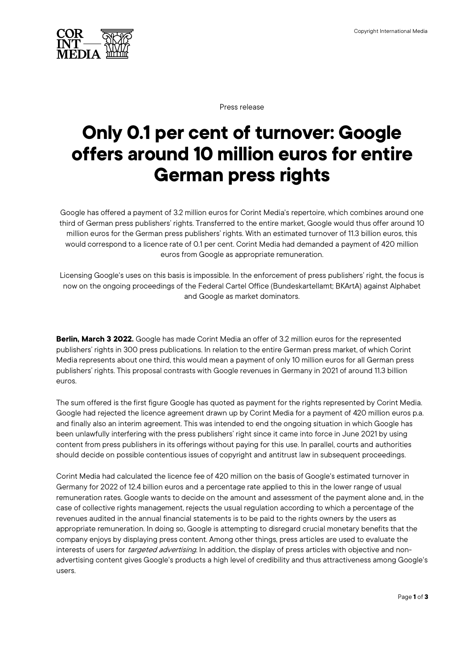

Press release

## **Only 0.1 per cent of turnover: Google offers around 10 million euros for entire German press rights**

Google has offered a payment of 3.2 million euros for Corint Media's repertoire, which combines around one third of German press publishers' rights. Transferred to the entire market, Google would thus offer around 10 million euros for the German press publishers' rights. With an estimated turnover of 11.3 billion euros, this would correspond to a licence rate of 0.1 per cent. Corint Media had demanded a payment of 420 million euros from Google as appropriate remuneration.

Licensing Google's uses on this basis is impossible. In the enforcement of press publishers' right, the focus is now on the ongoing proceedings of the Federal Cartel Office (Bundeskartellamt; BKArtA) against Alphabet and Google as market dominators.

**Berlin, March 3 2022.** Google has made Corint Media an offer of 3.2 million euros for the represented publishers' rights in 300 press publications. In relation to the entire German press market, of which Corint Media represents about one third, this would mean a payment of only 10 million euros for all German press publishers' rights. This proposal contrasts with Google revenues in Germany in 2021 of around 11.3 billion euros.

The sum offered is the first figure Google has quoted as payment for the rights represented by Corint Media. Google had rejected the licence agreement drawn up by Corint Media for a payment of 420 million euros p.a. and finally also an interim agreement. This was intended to end the ongoing situation in which Google has been unlawfully interfering with the press publishers' right since it came into force in June 2021 by using content from press publishers in its offerings without paying for this use. In parallel, courts and authorities should decide on possible contentious issues of copyright and antitrust law in subsequent proceedings.

Corint Media had calculated the licence fee of 420 million on the basis of Google's estimated turnover in Germany for 2022 of 12.4 billion euros and a percentage rate applied to this in the lower range of usual remuneration rates. Google wants to decide on the amount and assessment of the payment alone and, in the case of collective rights management, rejects the usual regulation according to which a percentage of the revenues audited in the annual financial statements is to be paid to the rights owners by the users as appropriate remuneration. In doing so, Google is attempting to disregard crucial monetary benefits that the company enjoys by displaying press content. Among other things, press articles are used to evaluate the interests of users for targeted advertising. In addition, the display of press articles with objective and nonadvertising content gives Google's products a high level of credibility and thus attractiveness among Google's users.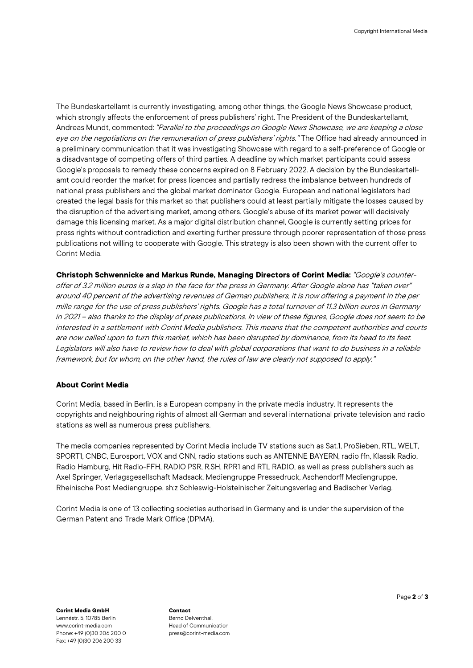The Bundeskartellamt is currently investigating, among other things, the Google News Showcase product, which strongly affects the enforcement of press publishers' right. The President of the Bundeskartellamt, Andreas Mundt, commented: "Parallel to the proceedings on Google News Showcase, we are keeping a close eye on the negotiations on the remuneration of press publishers' rights." The Office had already announced in a preliminary communication that it wasinvestigating Showcase with regard to a self-preference of Google or a disadvantage of competing offers of third parties. A deadline by which market participants could assess Google's proposals to remedy these concerns expired on 8 February 2022. A decision by the Bundeskartellamt could reorder the market for press licences and partially redress the imbalance between hundreds of national press publishers and the global market dominator Google. European and national legislators had created the legal basis for this market so that publishers could at least partially mitigate the losses caused by the disruption of the advertising market, among others. Google's abuse of its market power will decisively damage this licensing market. As a major digital distribution channel, Google is currently setting prices for press rights without contradiction and exerting further pressure through poorer representation of those press publications not willing to cooperate with Google. This strategy is also been shown with the current offer to Corint Media.

**Christoph Schwennicke and Markus Runde, Managing Directors of Corint Media:**"Google's counteroffer of 3.2 million euros is a slap in the face for the press in Germany. After Google alone has "taken over" around 40 percent of the advertising revenues of German publishers, it is now offering a payment in the per mille range for the use of press publishers' rights. Google has a total turnover of 11.3 billion euros in Germany in 2021 – also thanks to the display of press publications. In view of these figures, Google does not seem to be interested in a settlement with Corint Media publishers. This means that the competent authorities and courts are now called upon to turn this market, which has been disrupted by dominance, from its head to its feet. Legislators will also have to review how to deal with global corporations that want to do business in a reliable framework, but for whom, on the other hand, the rules of law are clearly not supposed to apply."

## **About Corint Media**

Corint Media, based in Berlin, is a European company in the private media industry. It represents the copyrights and neighbouring rights of almost all German and several international private television and radio stations as well as numerous press publishers.

The media companies represented by Corint Media include TV stations such as Sat.1, ProSieben, RTL, WELT, SPORT1, CNBC, Eurosport, VOX and CNN, radio stations such as ANTENNE BAYERN, radio ffn, Klassik Radio, Radio Hamburg, Hit Radio-FFH, RADIO PSR, R.SH, RPR1 and RTL RADIO, as well as press publishers such as Axel Springer, Verlagsgesellschaft Madsack, Mediengruppe Pressedruck, Aschendorff Mediengruppe, Rheinische Post Mediengruppe, sh:z Schleswig-Holsteinischer Zeitungsverlag and Badischer Verlag.

Corint Media is one of 13 collecting societies authorised in Germany and is under the supervision of the German Patent and Trade Mark Office (DPMA).

**Corint Media GmbH** Lennéstr. 5, 10785 Berlin [www.corint-media.com](http://www.corint-media.com/) Phone: +49 (0)30 206 200 0 Fax: +49 (0)30 206 200 33

**Contact** Bernd Delventhal, Head of Communication press@corint-media.com